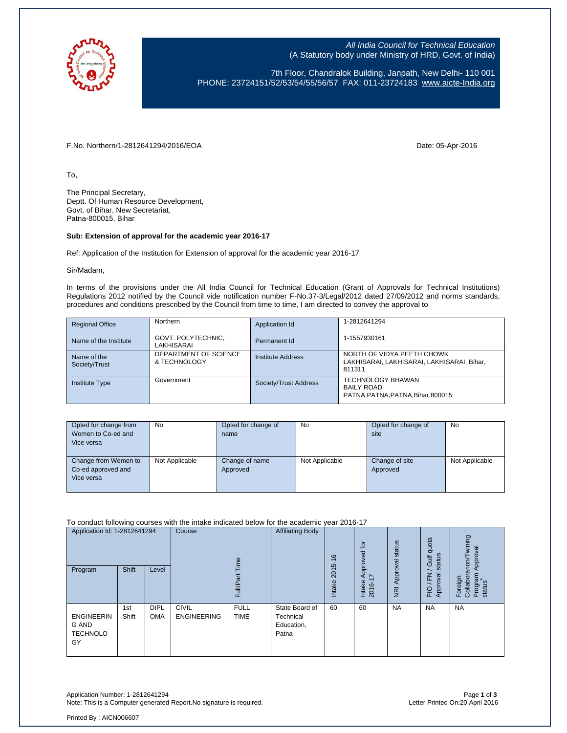

All India Council for Technical Education (A Statutory body under Ministry of HRD, Govt. of India)

7th Floor, Chandralok Building, Janpath, New Delhi- 110 001 PHONE: 23724151/52/53/54/55/56/57 FAX: 011-23724183 [www.aicte-India.org](http://www.aicte-india.org/)

F.No. Northern/1-2812641294/2016/EOA Date: 05-Apr-2016

To,

The Principal Secretary, Deptt. Of Human Resource Development, Govt. of Bihar, New Secretariat, Patna-800015, Bihar

## **Sub: Extension of approval for the academic year 2016-17**

Ref: Application of the Institution for Extension of approval for the academic year 2016-17

Sir/Madam,

In terms of the provisions under the All India Council for Technical Education (Grant of Approvals for Technical Institutions) Regulations 2012 notified by the Council vide notification number F-No.37-3/Legal/2012 dated 27/09/2012 and norms standards, procedures and conditions prescribed by the Council from time to time, I am directed to convey the approval to

| <b>Regional Office</b>       | Northern                              | Application Id           | 1-2812641294                                                                       |
|------------------------------|---------------------------------------|--------------------------|------------------------------------------------------------------------------------|
| Name of the Institute        | GOVT. POLYTECHNIC,<br>LAKHISARAI      | Permanent Id             | 1-1557930161                                                                       |
| Name of the<br>Society/Trust | DEPARTMENT OF SCIENCE<br>& TECHNOLOGY | <b>Institute Address</b> | NORTH OF VIDYA PEETH CHOWK<br>LAKHISARAI, LAKHISARAI, LAKHISARAI, Bihar,<br>811311 |
| <b>Institute Type</b>        | Government                            | Society/Trust Address    | <b>TECHNOLOGY BHAWAN</b><br><b>BAILY ROAD</b><br>PATNA.PATNA.PATNA.Bihar.800015    |

| Opted for change from<br>Women to Co-ed and<br>Vice versa | No             | Opted for change of<br>name | <b>No</b>      | Opted for change of<br>site | No             |
|-----------------------------------------------------------|----------------|-----------------------------|----------------|-----------------------------|----------------|
| Change from Women to<br>Co-ed approved and<br>Vice versa  | Not Applicable | Change of name<br>Approved  | Not Applicable | Change of site<br>Approved  | Not Applicable |

To conduct following courses with the intake indicated below for the academic year 2016-17

| Application Id: 1-2812641294<br>Program                    | Shift        | Level                     | Course                             | Time<br>σ<br>Full/P <sub>o</sub> | <b>Affiliating Body</b>                            | $\frac{6}{5}$<br>2015<br><b>Intake</b> | $\overline{a}$<br>Approved<br>I7<br>Intake<br>2016- | Approval status<br>$\overline{R}$ | quota<br>status<br><b>Jic</b><br>roval<br>준<br>App<br>PIO | wining<br>Approval<br>Foreign<br>Collaborarion/T<br>Program<br>status |
|------------------------------------------------------------|--------------|---------------------------|------------------------------------|----------------------------------|----------------------------------------------------|----------------------------------------|-----------------------------------------------------|-----------------------------------|-----------------------------------------------------------|-----------------------------------------------------------------------|
| <b>ENGINEERIN</b><br><b>G AND</b><br><b>TECHNOLO</b><br>GY | 1st<br>Shift | <b>DIPL</b><br><b>OMA</b> | <b>CIVIL</b><br><b>ENGINEERING</b> | <b>FULL</b><br><b>TIME</b>       | State Board of<br>Technical<br>Education,<br>Patna | 60                                     | 60                                                  | <b>NA</b>                         | <b>NA</b>                                                 | <b>NA</b>                                                             |

Application Number: 1-2812641294 Page **1** of **3** Note: This is a Computer generated Report.No signature is required.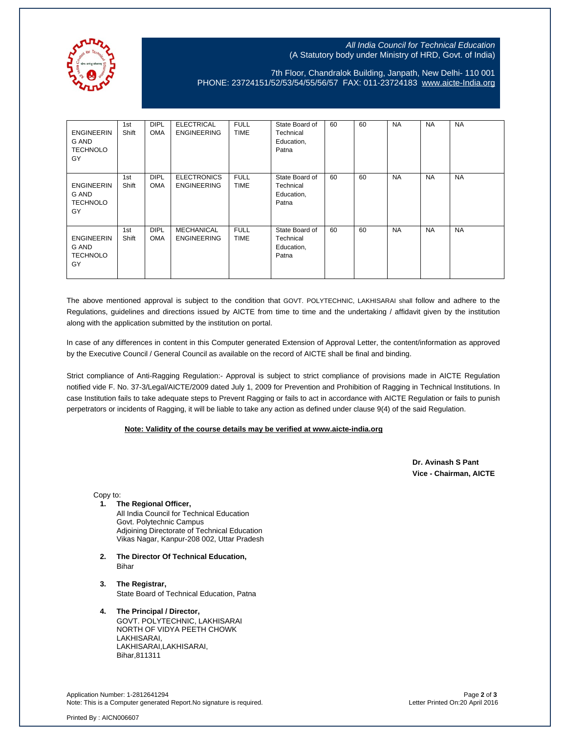

## All India Council for Technical Education (A Statutory body under Ministry of HRD, Govt. of India)

7th Floor, Chandralok Building, Janpath, New Delhi- 110 001 PHONE: 23724151/52/53/54/55/56/57 FAX: 011-23724183 [www.aicte-India.org](http://www.aicte-india.org/)

| <b>ENGINEERIN</b><br>G AND<br><b>TECHNOLO</b><br>GY | 1st<br>Shift | <b>DIPL</b><br><b>OMA</b> | <b>ELECTRICAL</b><br><b>ENGINEERING</b>  | <b>FULL</b><br><b>TIME</b> | State Board of<br>Technical<br>Education,<br>Patna | 60 | 60 | <b>NA</b> | <b>NA</b> | <b>NA</b> |
|-----------------------------------------------------|--------------|---------------------------|------------------------------------------|----------------------------|----------------------------------------------------|----|----|-----------|-----------|-----------|
| <b>ENGINEERIN</b><br>G AND<br><b>TECHNOLO</b><br>GY | 1st<br>Shift | <b>DIPL</b><br><b>OMA</b> | <b>ELECTRONICS</b><br><b>ENGINEERING</b> | <b>FULL</b><br><b>TIME</b> | State Board of<br>Technical<br>Education,<br>Patna | 60 | 60 | <b>NA</b> | <b>NA</b> | <b>NA</b> |
| <b>ENGINEERIN</b><br>G AND<br><b>TECHNOLO</b><br>GY | 1st<br>Shift | <b>DIPL</b><br><b>OMA</b> | <b>MECHANICAL</b><br><b>ENGINEERING</b>  | <b>FULL</b><br><b>TIME</b> | State Board of<br>Technical<br>Education,<br>Patna | 60 | 60 | <b>NA</b> | <b>NA</b> | <b>NA</b> |

The above mentioned approval is subject to the condition that GOVT. POLYTECHNIC, LAKHISARAI shall follow and adhere to the Regulations, guidelines and directions issued by AICTE from time to time and the undertaking / affidavit given by the institution along with the application submitted by the institution on portal.

In case of any differences in content in this Computer generated Extension of Approval Letter, the content/information as approved by the Executive Council / General Council as available on the record of AICTE shall be final and binding.

Strict compliance of Anti-Ragging Regulation:- Approval is subject to strict compliance of provisions made in AICTE Regulation notified vide F. No. 37-3/Legal/AICTE/2009 dated July 1, 2009 for Prevention and Prohibition of Ragging in Technical Institutions. In case Institution fails to take adequate steps to Prevent Ragging or fails to act in accordance with AICTE Regulation or fails to punish perpetrators or incidents of Ragging, it will be liable to take any action as defined under clause 9(4) of the said Regulation.

## **Note: Validity of the course details may be verified at www.aicte-india.org**

 **Dr. Avinash S Pant Vice - Chairman, AICTE**

Copy to:

**1. The Regional Officer,**

All India Council for Technical Education Govt. Polytechnic Campus Adjoining Directorate of Technical Education Vikas Nagar, Kanpur-208 002, Uttar Pradesh

- **2. The Director Of Technical Education,** Bihar
- **3. The Registrar,** State Board of Technical Education, Patna

## **4. The Principal / Director,** GOVT. POLYTECHNIC, LAKHISARAI NORTH OF VIDYA PEETH CHOWK LAKHISARAI, LAKHISARAI,LAKHISARAI, Bihar,811311

Application Number: 1-2812641294 Page **2** of **3** Note: This is a Computer generated Report.No signature is required.